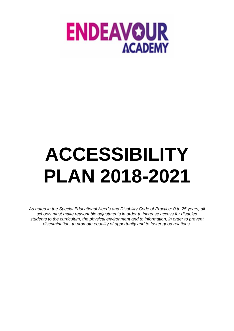

# **ACCESSIBILITY PLAN 2018-2021**

*As noted in the Special Educational Needs and Disability Code of Practice: 0 to 25 years, all schools must make reasonable adjustments in order to increase access for disabled students to the curriculum, the physical environment and to information, in order to prevent discrimination, to promote equality of opportunity and to foster good relations.*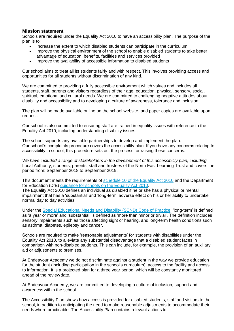## **Mission statement**

Schools are required under the Equality Act 2010 to have an accessibility plan. The purpose of the plan is to:

- Increase the extent to which disabled students can participate in the curriculum
- Improve the physical environment of the school to enable disabled students to take better advantage of education, benefits, facilities and services provided
- Improve the availability of accessible information to disabled students

Our school aims to treat all its students fairly and with respect. This involves providing access and opportunities for all students without discrimination of any kind.

We are committed to providing a fully accessible environment which values and includes all students, staff, parents and visitors regardless of their age, education, physical, sensory, social, spiritual, emotional and cultural needs. We are committed to challenging negative attitudes about disability and accessibility and to developing a culture of awareness, tolerance and inclusion.

The plan will be made available online on the school website, and paper copies are available upon request.

Our school is also committed to ensuring staff are trained in equality issues with reference to the Equality Act 2010, including understanding disability issues.

The school supports any available partnerships to develop and implement the plan. Our school's complaints procedure covers the accessibility plan. If you have any concerns relating to accessibility in school, this procedure sets out the process for raising these concerns.

*We have included a range of stakeholders in the development of this accessibility plan, including*  Local Authority, students, parents, staff and trustees of the North East Learning Trust and covers the period from: September 2018 to September 2019.

This document meets the requirements of [schedule 10 of the Equality Act 2010](http://www.legislation.gov.uk/ukpga/2010/15/schedule/10) and the Department for Education (DfE) [guidance for schools on the Equality Act 2010.](https://www.gov.uk/government/publications/equality-act-2010-advice-for-schools)

The Equality Act 2010 defines an individual as disabled if he or she has a physical or mental impairment that has a 'substantial' and 'long-term' adverse effect on his or her ability to undertake normal day to day activities.

Under the [Special Educational Needs and Disability \(SEND\) Code of Practice,](https://www.gov.uk/government/publications/send-code-of-practice-0-to-25) 'long-term' is defined as 'a year or more' and 'substantial' is defined as 'more than minor or trivial'. The definition includes sensory impairments such as those affecting sight or hearing, and long-term health conditions such as asthma, diabetes, epilepsy and cancer.

Schools are required to make 'reasonable adjustments' for students with disabilities under the Equality Act 2010, to alleviate any substantial disadvantage that a disabled student faces in comparison with non-disabled students. This can include, for example, the provision of an auxiliary aid or adjustments to premises.

At Endeavour Academy we do not discriminate against a student in the way we provide education for the student (including participation in the school's curriculum), access to the facility and access to information. It is a projected plan for a three year period, which will be constantly monitored ahead of the reviewdate.

At Endeavour Academy, we are committed to developing a culture of inclusion, support and awareness within the school.

The Accessibility Plan shows how access is provided for disabled students, staff and visitors to the school, in addition to anticipating the need to make reasonable adjustments to accommodate their needswhere practicable. The Accessibility Plan contains relevant actions to:-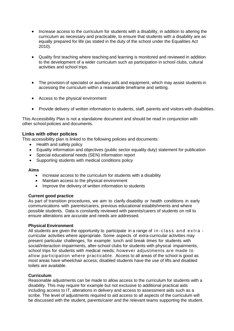- Increase access to the curriculum for students with a disability, in addition to altering the curriculum as necessary and practicable, to ensure that students with a disability are as equally prepared for life (as stated in the duty of the school under the Equalities Act 2010).
- Quality first teaching where teaching and learning is monitored and reviewed in addition to the development of a wider curriculum such as participation in school clubs, cultural activities and school trips.
- The provision of specialist or auxiliary aids and equipment, which may assist students in accessing the curriculum within a reasonable timeframe and setting.
- Access to the physical environment
- Provide delivery of written information to students, staff, parents and visitors with disabilities.

This Accessibility Plan is not a standalone document and should be read in conjunction with other school policies and documents.

## **Links with other policies**

This accessibility plan is linked to the following policies and documents:

- Health and safety policy
- Equality information and objectives (public sector equality duty) statement for publication
- Special educational needs (SEN) information report
- Supporting students with medical conditions policy

#### **Aims**

- Increase access to the curriculum for students with a disability
- Maintain access to the physical environment
- Improve the delivery of written information to students

#### **Current good practice**

As part of transition procedures, we aim to clarify disability or health conditions in early communications with parents/carers, previous educational establishments and where possible students. Data is constantly reviewed with parents/carers of students on roll to ensure alterations are accurate and needs are addressed.

#### **Physical Environment**

All students are given the opportunity to participate in a range of  $\mathbf{i} \cdot \mathbf{n}$  - class and extra curricular activities where appropriate. Some aspects of extra-curricular activities may present particular challenges, for example: lunch and break times for students with social/interaction impairments, after-school clubs for students with physical impairments, school trips for students with medical needs; however adjustments are made to allow participation where practicable. Access to all areas of the school is good as most areas have wheelchair access; disabled students have the use of lifts and disabled toilets are available.

#### **Curriculum**

Reasonable adjustments can be made to allow access to the curriculum for students with a disability. This may require for example but not exclusive to additional practical aids including access to IT, alterations in delivery and access to assessment aids such as a scribe. The level of adjustments required to aid access to all aspects of the curriculum will be discussed with the student, parents/carer and the relevant teams supporting the student.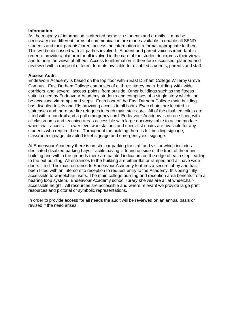#### **Information**

As the majority of information is directed home via students and e-mails, it may be necessary that different forms of communication are made available to enable all SEND students and their parents/carers access the information in a format appropriate to them. This will be discussed with all parties involved. Student and parent voice is important in order to provide a platform for all involved in the care of the student to express their views and to hear the views of others. Access to information is therefore discussed, planned and reviewed with a range of different formats available for disabled students, parents and staff.

## **Access Audit**

Endeavour Academy is based on the top floor within East Durham College,Willerby Grove Campus. East Durham College comprises of a three storey main building with wide corridors and several access points from outside. Other buildings such as the fitness suite is used by Endeavour Academy students and comprises of a single story which can be accessed via ramps and steps. Each floor of the East Durham College main building has disabled toilets and lifts providing access to all floors. Evac chairs are located in staircases and there are fire refugees in each main stair core. All of the disabled toilets are fitted with a handrail and a pull emergency cord. Endeavour Academy is on one floor, with all classrooms and teaching areas accessible with large doorways able to accommodate wheelchair access. Lower level workstations and specialist chairs are available for any students who require them. Throughout the building there is full building signage, classroom signage, disabled toilet signage and emergency exit signage.

At Endeavour Academy there is on-site car parking for staff and visitor which includes dedicated disabled parking bays. Tactile paving is found outside of the front of the main building and within the grounds there are painted indicators on the edge of each step leading to the out building. All entrances to the building are either flat or ramped and all have wide doors fitted. The main entrance to Endeavour Academy features a secure lobby and has been fitted with an intercom to reception to request entry to the Academy, this being fully accessible to wheelchair users. The main college building and reception area benefits from a hearing loop system. Endeavour Academy school library shelves are all at wheelchairaccessible height. All resources are accessible and where relevant we provide large print resources and pictorial or symbolic representations.

In order to provide access for all needs the audit will be reviewed on an annual basis or revised if the need arises.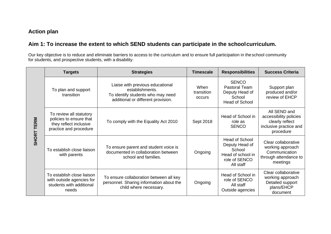# **Action plan**

# **Aim 1: To increase the extent to which SEND students can participate in the schoolcurriculum.**

Our key objective is to reduce and eliminate barriers to access to the curriculum and to ensure full participation in theschool community for students, and prospective students, with a disability.

|                   | <b>Targets</b>                                                                                         | <b>Strategies</b>                                                                                                              | <b>Timescale</b>             | <b>Responsibilities</b>                                                                              | <b>Success Criteria</b>                                                                          |
|-------------------|--------------------------------------------------------------------------------------------------------|--------------------------------------------------------------------------------------------------------------------------------|------------------------------|------------------------------------------------------------------------------------------------------|--------------------------------------------------------------------------------------------------|
| <b>SHORT TERM</b> | To plan and support<br>transition                                                                      | Liaise with previous educational<br>establishments.<br>To identify students who may need<br>additional or different provision. | When<br>transition<br>occurs | <b>SENCO</b><br>Pastoral Team<br>Deputy Head of<br>School<br><b>Head of School</b>                   | Support plan<br>produced and/or<br>review of EHCP                                                |
|                   | To review all statutory<br>policies to ensure that<br>they reflect inclusive<br>practice and procedure | To comply with the Equality Act 2010                                                                                           | Sept 2018                    | Head of School in<br>role as<br><b>SENCO</b>                                                         | All SEND and<br>accessibility policies<br>clearly reflect<br>inclusive practice and<br>procedure |
|                   | To establish close liaison<br>with parents                                                             | To ensure parent and student voice is<br>documented in collaboration between<br>school and families.                           | Ongoing                      | <b>Head of School</b><br>Deputy Head of<br>School<br>Head of school in<br>role of SENCO<br>All staff | Clear collaborative<br>working approach<br>Communication<br>through attendance to<br>meetings    |
|                   | To establish close liaison<br>with outside agencies for<br>students with additional<br>needs           | To ensure collaboration between all key<br>personnel. Sharing information about the<br>child where necessary.                  | Ongoing                      | Head of School in<br>role of SENCO<br>All staff<br>Outside agencies                                  | Clear collaborative<br>working approach<br>Detailed support<br>plans/EHCP<br>document            |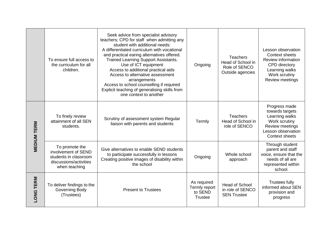|                    | To ensure full access to<br>the curriculum for all<br>children.                                           | Seek advice from specialist advisory<br>teachers; CPD for staff when admitting any<br>student with additional needs:<br>A differentiated curriculum with vocational<br>and practical earing alternatives offered.<br>Trained Learning Support Assistants.<br>Use of ICT equipment<br>Access to additional practical aids<br>Access to alternative assessment<br>arrangements<br>Access to school counselling if required<br>Explicit teaching of generalising skills from<br>one context to another | Ongoing                                                   | <b>Teachers</b><br>Head of School in<br>Role of SENCO<br>Outside agencies | Lesson observation<br><b>Context sheets</b><br>Review information<br>CPD directory<br>Learning walks<br>Work scrutiny<br>Review meetings |
|--------------------|-----------------------------------------------------------------------------------------------------------|-----------------------------------------------------------------------------------------------------------------------------------------------------------------------------------------------------------------------------------------------------------------------------------------------------------------------------------------------------------------------------------------------------------------------------------------------------------------------------------------------------|-----------------------------------------------------------|---------------------------------------------------------------------------|------------------------------------------------------------------------------------------------------------------------------------------|
| <b>MEDIUM TERM</b> | To finely review<br>attainment of all SEN<br>students.                                                    | Scrutiny of assessment system Regular<br>liaison with parents and students                                                                                                                                                                                                                                                                                                                                                                                                                          | Termly                                                    | <b>Teachers</b><br>Head of School in<br>role of SENCO                     | Progress made<br>towards targets<br>Learning walks<br>Work scrutiny<br>Review meetings<br>Lesson observation<br><b>Context sheets</b>    |
|                    | To promote the<br>involvement of SEND<br>students in classroom<br>discussions/activities<br>when teaching | Give alternatives to enable SEND students<br>to participate successfully in lessons<br>Creating positive images of disability within<br>the school                                                                                                                                                                                                                                                                                                                                                  | Ongoing                                                   | Whole school<br>approach                                                  | Through student<br>parent and staff<br>voice, ensure that the<br>needs of all are<br>represented within<br>school.                       |
| LONG TERM          | To deliver findings to the<br><b>Governing Body</b><br>(Trustees)                                         | <b>Present to Trustees</b>                                                                                                                                                                                                                                                                                                                                                                                                                                                                          | As required<br>Termly report<br>to SEND<br><b>Trustee</b> | Head of School<br>in role of SENCO<br><b>SEN Trustee</b>                  | <b>Trustees fully</b><br>informed about SEN<br>provision and<br>progress                                                                 |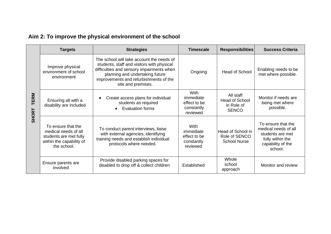| <b>TERM</b><br><b>SHORT</b> | <b>Targets</b>                                                                                                  | <b>Strategies</b>                                                                                                                                                                                                                       | <b>Timescale</b>                                                   | <b>Responsibilities</b>                                          | <b>Success Criteria</b>                                                                                            |
|-----------------------------|-----------------------------------------------------------------------------------------------------------------|-----------------------------------------------------------------------------------------------------------------------------------------------------------------------------------------------------------------------------------------|--------------------------------------------------------------------|------------------------------------------------------------------|--------------------------------------------------------------------------------------------------------------------|
|                             | Improve physical<br>environment of school<br>environment                                                        | The school will take account the needs of<br>students, staff and visitors with physical<br>difficulties and sensory impairments when<br>planning and undertaking future<br>improvements and refurbishments of the<br>site and premises. | Ongoing                                                            | Head of School                                                   | Enabling needs to be<br>met where possible.                                                                        |
|                             | Ensuring all with a<br>disability are included                                                                  | Create access plans for individual<br>students as required<br><b>Evaluation forms</b>                                                                                                                                                   | <b>With</b><br>immediate<br>effect to be<br>constantly<br>reviewed | All staff<br><b>Head of School</b><br>in Role of<br><b>SENCO</b> | Monitor if needs are<br>being met where<br>possible.                                                               |
|                             | To ensure that the<br>medical needs of all<br>students are met fully<br>within the capability of<br>the school. | To conduct parent interviews, liaise<br>with external agencies, identifying<br>training needs and establish individual<br>protocols where needed.                                                                                       | With<br>immediate<br>effect to be<br>constantly<br>reviewed        | Head of School in<br>Role of SENCO<br><b>School Nurse</b>        | To ensure that the<br>medical needs of all<br>students are met<br>fully within the<br>capability of the<br>school. |
|                             | Ensure parents are<br>involved                                                                                  | Provide disabled parking spaces for<br>disabled to drop off & collect children                                                                                                                                                          | Established                                                        | Whole<br>school<br>approach                                      | Monitor and review                                                                                                 |